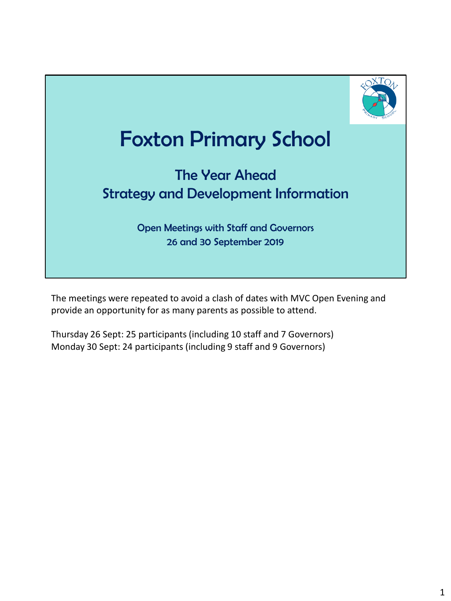

# Foxton Primary School

#### The Year Ahead Strategy and Development Information

Open Meetings with Staff and Governors 26 and 30 September 2019

The meetings were repeated to avoid a clash of dates with MVC Open Evening and provide an opportunity for as many parents as possible to attend.

Thursday 26 Sept: 25 participants (including 10 staff and 7 Governors) Monday 30 Sept: 24 participants (including 9 staff and 9 Governors)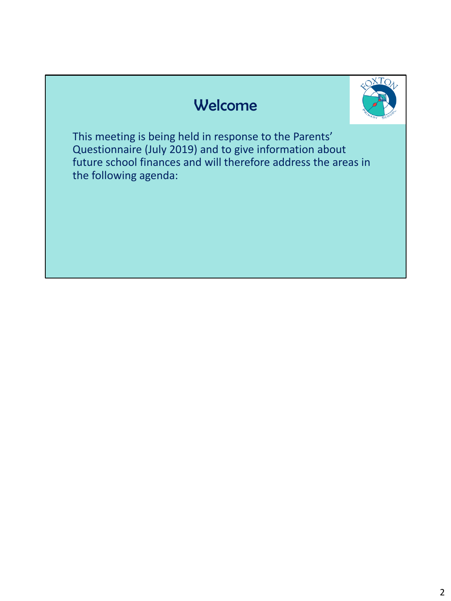### Welcome



This meeting is being held in response to the Parents' Questionnaire (July 2019) and to give information about future school finances and will therefore address the areas in the following agenda: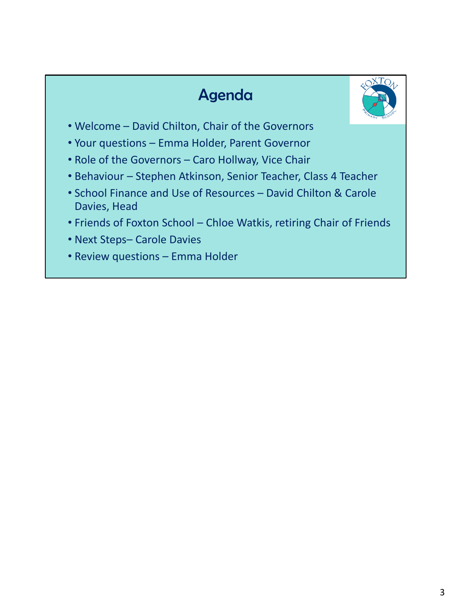## Agenda



- Welcome David Chilton, Chair of the Governors
- Your questions Emma Holder, Parent Governor
- Role of the Governors Caro Hollway, Vice Chair
- Behaviour Stephen Atkinson, Senior Teacher, Class 4 Teacher
- School Finance and Use of Resources David Chilton & Carole Davies, Head
- Friends of Foxton School Chloe Watkis, retiring Chair of Friends
- Next Steps– Carole Davies
- Review questions Emma Holder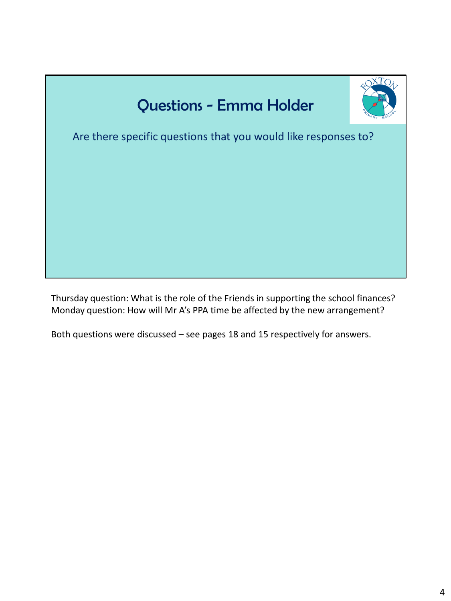

Thursday question: What is the role of the Friends in supporting the school finances? Monday question: How will Mr A's PPA time be affected by the new arrangement?

Both questions were discussed – see pages 18 and 15 respectively for answers.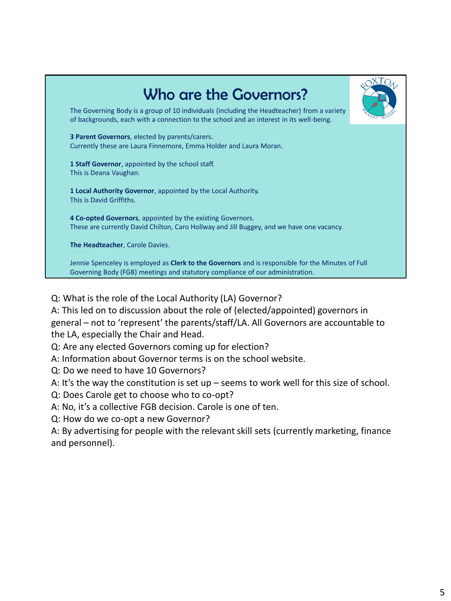

Q: What is the role of the Local Authority (LA) Governor?

A: This led on to discussion about the role of (elected/appointed) governors in general – not to 'represent' the parents/staff/LA. All Governors are accountable to the LA, especially the Chair and Head.

Q: Are any elected Governors coming up for election?

A: Information about Governor terms is on the school website.

Q: Do we need to have 10 Governors?

A: It's the way the constitution is set up – seems to work well for this size of school.

Q: Does Carole get to choose who to co-opt?

A: No, it's a collective FGB decision. Carole is one of ten.

Q: How do we co-opt a new Governor?

A: By advertising for people with the relevant skill sets (currently marketing, finance and personnel).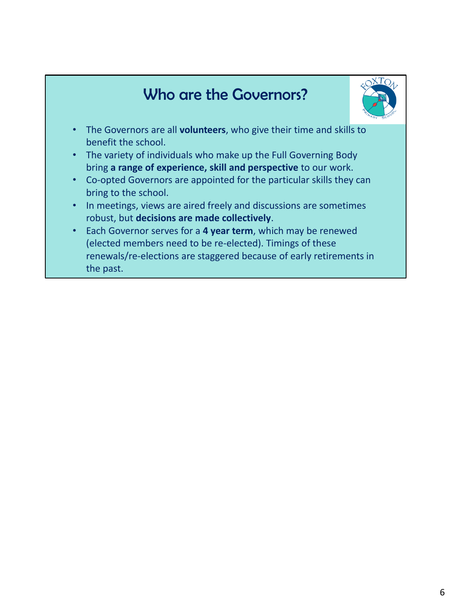## Who are the Governors?



- The Governors are all **volunteers**, who give their time and skills to benefit the school.
- The variety of individuals who make up the Full Governing Body bring **a range of experience, skill and perspective** to our work.
- Co-opted Governors are appointed for the particular skills they can bring to the school.
- In meetings, views are aired freely and discussions are sometimes robust, but **decisions are made collectively**.
- Each Governor serves for a **4 year term**, which may be renewed (elected members need to be re-elected). Timings of these renewals/re-elections are staggered because of early retirements in the past.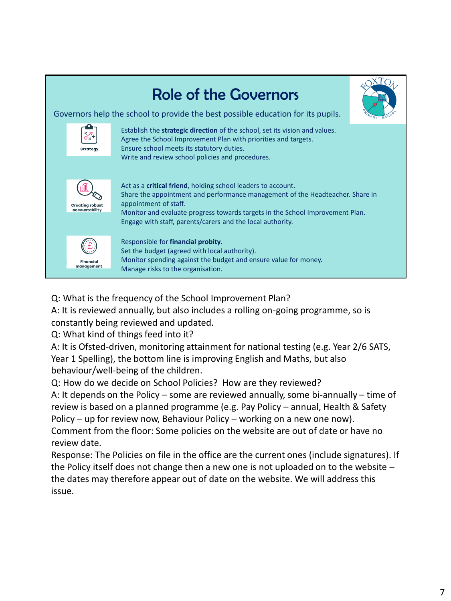

Q: What is the frequency of the School Improvement Plan?

A: It is reviewed annually, but also includes a rolling on-going programme, so is constantly being reviewed and updated.

Q: What kind of things feed into it?

A: It is Ofsted-driven, monitoring attainment for national testing (e.g. Year 2/6 SATS, Year 1 Spelling), the bottom line is improving English and Maths, but also behaviour/well-being of the children.

Q: How do we decide on School Policies? How are they reviewed?

A: It depends on the Policy – some are reviewed annually, some bi-annually – time of review is based on a planned programme (e.g. Pay Policy – annual, Health & Safety Policy – up for review now, Behaviour Policy – working on a new one now). Comment from the floor: Some policies on the website are out of date or have no review date.

Response: The Policies on file in the office are the current ones (include signatures). If the Policy itself does not change then a new one is not uploaded on to the website – the dates may therefore appear out of date on the website. We will address this issue.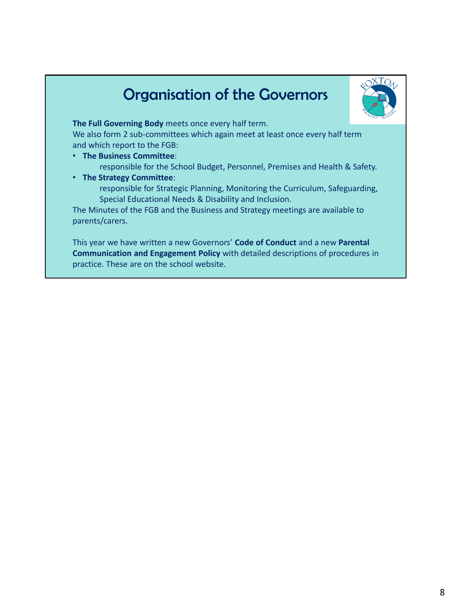## Organisation of the Governors



**The Full Governing Body** meets once every half term.

We also form 2 sub-committees which again meet at least once every half term and which report to the FGB:

- **The Business Committee**: responsible for the School Budget, Personnel, Premises and Health & Safety.
- **The Strategy Committee**: responsible for Strategic Planning, Monitoring the Curriculum, Safeguarding, Special Educational Needs & Disability and Inclusion.

The Minutes of the FGB and the Business and Strategy meetings are available to parents/carers.

This year we have written a new Governors' **Code of Conduct** and a new **Parental Communication and Engagement Policy** with detailed descriptions of procedures in practice. These are on the school website.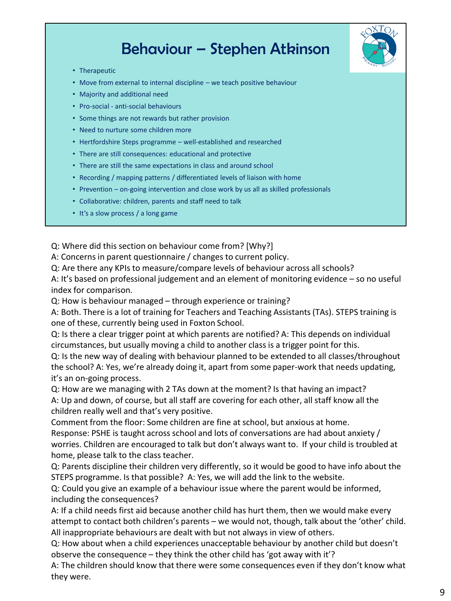### Behaviour – Stephen Atkinson



- Therapeutic
- Move from external to internal discipline we teach positive behaviour
- Majority and additional need
- Pro-social anti-social behaviours
- Some things are not rewards but rather provision
- Need to nurture some children more
- Hertfordshire Steps programme well-established and researched
- There are still consequences: educational and protective
- There are still the same expectations in class and around school
- Recording / mapping patterns / differentiated levels of liaison with home
- Prevention on-going intervention and close work by us all as skilled professionals
- Collaborative: children, parents and staff need to talk
- It's a slow process / a long game

Q: Where did this section on behaviour come from? [Why?]

A: Concerns in parent questionnaire / changes to current policy.

Q: Are there any KPIs to measure/compare levels of behaviour across all schools?

A: It's based on professional judgement and an element of monitoring evidence – so no useful index for comparison.

Q: How is behaviour managed – through experience or training?

A: Both. There is a lot of training for Teachers and Teaching Assistants (TAs). STEPS training is one of these, currently being used in Foxton School.

Q: Is there a clear trigger point at which parents are notified? A: This depends on individual circumstances, but usually moving a child to another class is a trigger point for this.

Q: Is the new way of dealing with behaviour planned to be extended to all classes/throughout the school? A: Yes, we're already doing it, apart from some paper-work that needs updating, it's an on-going process.

Q: How are we managing with 2 TAs down at the moment? Is that having an impact? A: Up and down, of course, but all staff are covering for each other, all staff know all the children really well and that's very positive.

Comment from the floor: Some children are fine at school, but anxious at home.

Response: PSHE is taught across school and lots of conversations are had about anxiety / worries. Children are encouraged to talk but don't always want to. If your child is troubled at home, please talk to the class teacher.

Q: Parents discipline their children very differently, so it would be good to have info about the STEPS programme. Is that possible? A: Yes, we will add the link to the website.

Q: Could you give an example of a behaviour issue where the parent would be informed, including the consequences?

A: If a child needs first aid because another child has hurt them, then we would make every attempt to contact both children's parents – we would not, though, talk about the 'other' child. All inappropriate behaviours are dealt with but not always in view of others.

Q: How about when a child experiences unacceptable behaviour by another child but doesn't observe the consequence – they think the other child has 'got away with it'?

A: The children should know that there were some consequences even if they don't know what they were.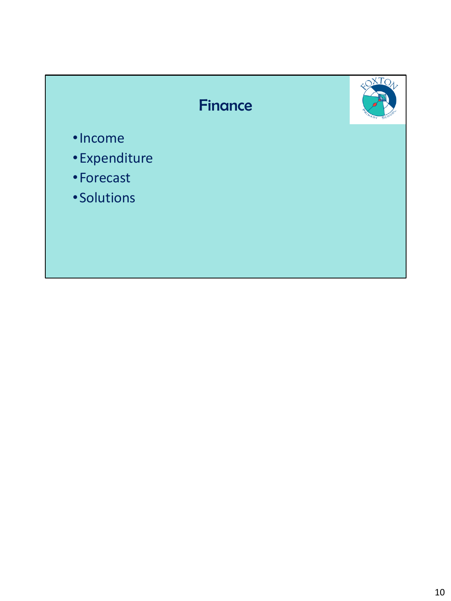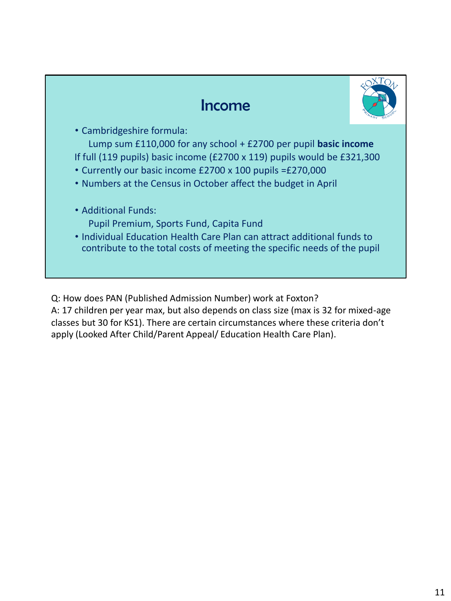#### Income



• Cambridgeshire formula:

Lump sum £110,000 for any school + £2700 per pupil **basic income** If full (119 pupils) basic income (£2700 x 119) pupils would be £321,300

- Currently our basic income £2700 x 100 pupils =£270,000
- Numbers at the Census in October affect the budget in April
- Additional Funds:
	- Pupil Premium, Sports Fund, Capita Fund
- Individual Education Health Care Plan can attract additional funds to contribute to the total costs of meeting the specific needs of the pupil

Q: How does PAN (Published Admission Number) work at Foxton?

A: 17 children per year max, but also depends on class size (max is 32 for mixed-age classes but 30 for KS1). There are certain circumstances where these criteria don't apply (Looked After Child/Parent Appeal/ Education Health Care Plan).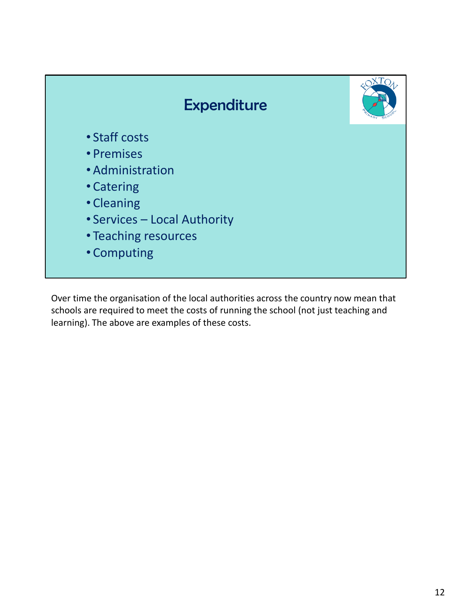

Over time the organisation of the local authorities across the country now mean that schools are required to meet the costs of running the school (not just teaching and learning). The above are examples of these costs.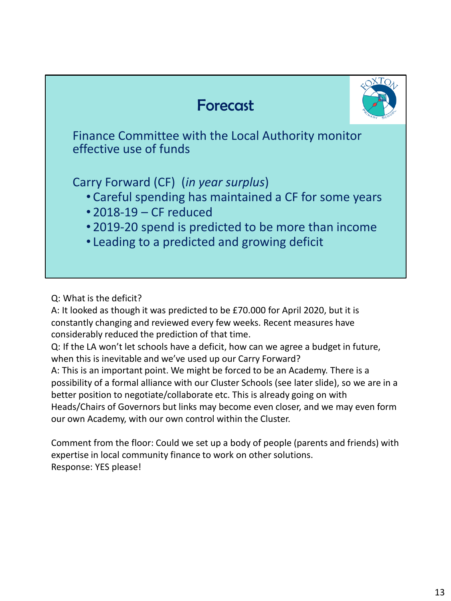## Forecast



Finance Committee with the Local Authority monitor effective use of funds

Carry Forward (CF) (*in year surplus*)

- Careful spending has maintained a CF for some years
- 2018-19 CF reduced
- 2019-20 spend is predicted to be more than income
- Leading to a predicted and growing deficit

Q: What is the deficit?

A: It looked as though it was predicted to be £70.000 for April 2020, but it is constantly changing and reviewed every few weeks. Recent measures have considerably reduced the prediction of that time.

Q: If the LA won't let schools have a deficit, how can we agree a budget in future, when this is inevitable and we've used up our Carry Forward?

A: This is an important point. We might be forced to be an Academy. There is a possibility of a formal alliance with our Cluster Schools (see later slide), so we are in a better position to negotiate/collaborate etc. This is already going on with Heads/Chairs of Governors but links may become even closer, and we may even form our own Academy, with our own control within the Cluster.

Comment from the floor: Could we set up a body of people (parents and friends) with expertise in local community finance to work on other solutions. Response: YES please!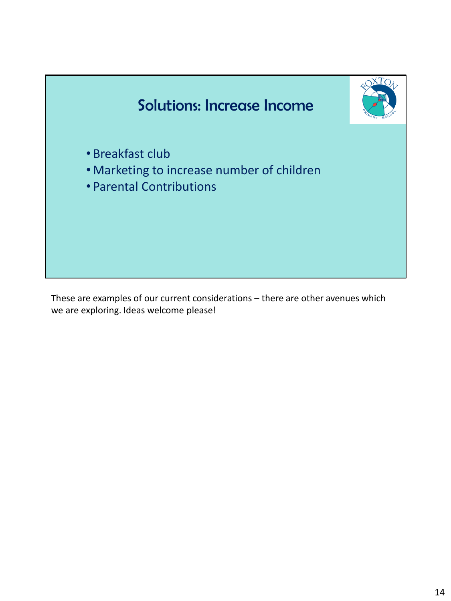

These are examples of our current considerations – there are other avenues which we are exploring. Ideas welcome please!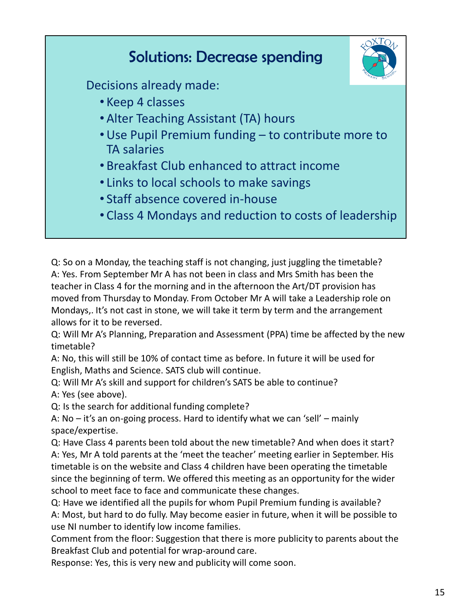

Q: So on a Monday, the teaching staff is not changing, just juggling the timetable? A: Yes. From September Mr A has not been in class and Mrs Smith has been the teacher in Class 4 for the morning and in the afternoon the Art/DT provision has moved from Thursday to Monday. From October Mr A will take a Leadership role on Mondays,. It's not cast in stone, we will take it term by term and the arrangement allows for it to be reversed.

Q: Will Mr A's Planning, Preparation and Assessment (PPA) time be affected by the new timetable?

A: No, this will still be 10% of contact time as before. In future it will be used for English, Maths and Science. SATS club will continue.

Q: Will Mr A's skill and support for children's SATS be able to continue? A: Yes (see above).

Q: Is the search for additional funding complete?

A: No – it's an on-going process. Hard to identify what we can 'sell' – mainly space/expertise.

Q: Have Class 4 parents been told about the new timetable? And when does it start? A: Yes, Mr A told parents at the 'meet the teacher' meeting earlier in September. His timetable is on the website and Class 4 children have been operating the timetable since the beginning of term. We offered this meeting as an opportunity for the wider school to meet face to face and communicate these changes.

Q: Have we identified all the pupils for whom Pupil Premium funding is available? A: Most, but hard to do fully. May become easier in future, when it will be possible to use NI number to identify low income families.

Comment from the floor: Suggestion that there is more publicity to parents about the Breakfast Club and potential for wrap-around care.

Response: Yes, this is very new and publicity will come soon.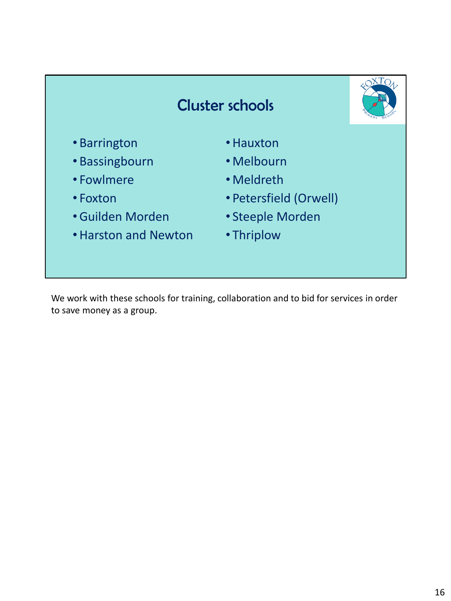

We work with these schools for training, collaboration and to bid for services in order to save money as a group.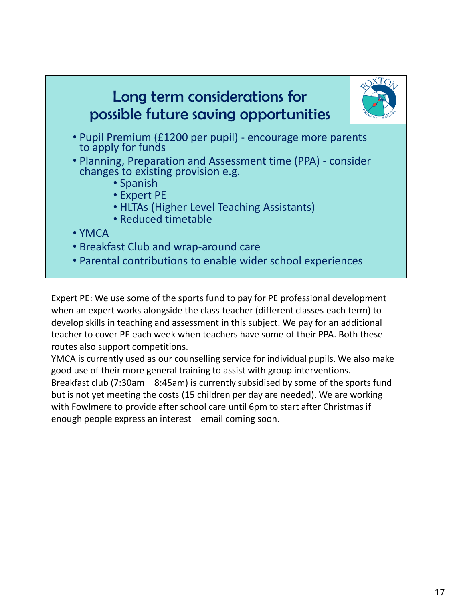

Expert PE: We use some of the sports fund to pay for PE professional development when an expert works alongside the class teacher (different classes each term) to develop skills in teaching and assessment in this subject. We pay for an additional teacher to cover PE each week when teachers have some of their PPA. Both these routes also support competitions.

YMCA is currently used as our counselling service for individual pupils. We also make good use of their more general training to assist with group interventions. Breakfast club (7:30am – 8:45am) is currently subsidised by some of the sports fund but is not yet meeting the costs (15 children per day are needed). We are working with Fowlmere to provide after school care until 6pm to start after Christmas if enough people express an interest – email coming soon.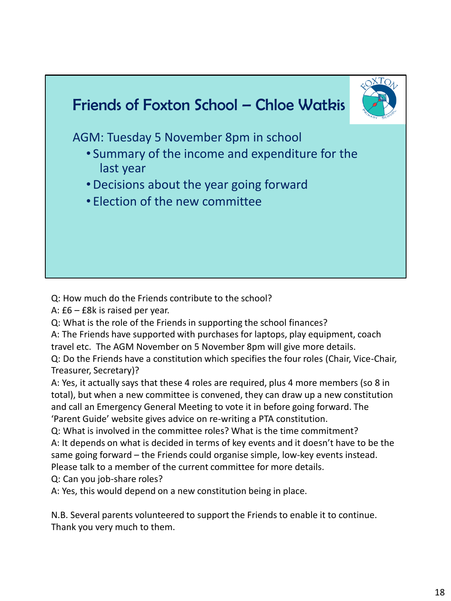

Q: How much do the Friends contribute to the school?

A: £6 – £8k is raised per year.

Q: What is the role of the Friends in supporting the school finances?

A: The Friends have supported with purchases for laptops, play equipment, coach travel etc. The AGM November on 5 November 8pm will give more details.

Q: Do the Friends have a constitution which specifies the four roles (Chair, Vice-Chair, Treasurer, Secretary)?

A: Yes, it actually says that these 4 roles are required, plus 4 more members (so 8 in total), but when a new committee is convened, they can draw up a new constitution and call an Emergency General Meeting to vote it in before going forward. The 'Parent Guide' website gives advice on re-writing a PTA constitution.

Q: What is involved in the committee roles? What is the time commitment? A: It depends on what is decided in terms of key events and it doesn't have to be the same going forward – the Friends could organise simple, low-key events instead. Please talk to a member of the current committee for more details.

Q: Can you job-share roles?

A: Yes, this would depend on a new constitution being in place.

N.B. Several parents volunteered to support the Friends to enable it to continue. Thank you very much to them.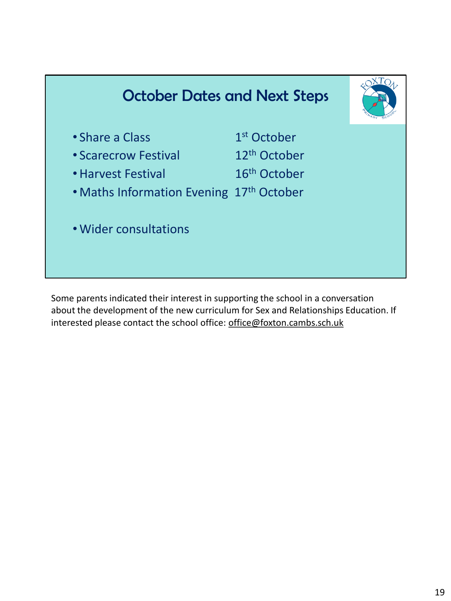

Some parents indicated their interest in supporting the school in a conversation about the development of the new curriculum for Sex and Relationships Education. If interested please contact the school office: office@foxton.cambs.sch.uk